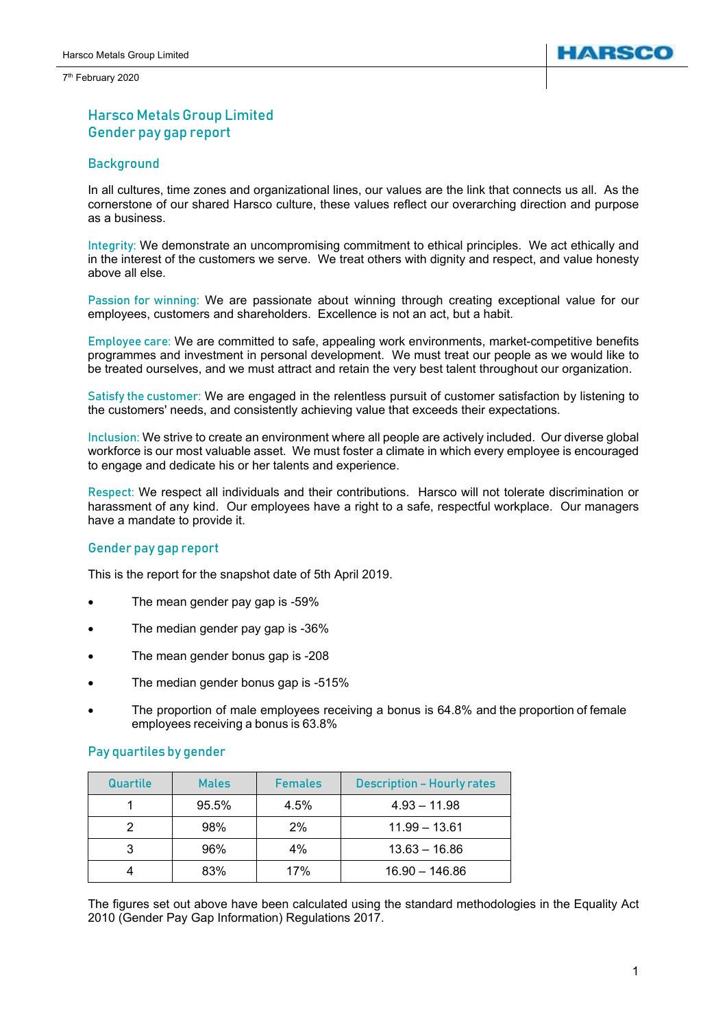7<sup>th</sup> February 2020



# Harsco Metals Group Limited Gender pay gap report

## Background

In all cultures, time zones and organizational lines, our values are the link that connects us all. As the cornerstone of our shared Harsco culture, these values reflect our overarching direction and purpose as a business.

Integrity: We demonstrate an uncompromising commitment to ethical principles. We act ethically and in the interest of the customers we serve. We treat others with dignity and respect, and value honesty above all else.

Passion for winning: We are passionate about winning through creating exceptional value for our employees, customers and shareholders. Excellence is not an act, but a habit.

Employee care: We are committed to safe, appealing work environments, market-competitive benefits programmes and investment in personal development. We must treat our people as we would like to be treated ourselves, and we must attract and retain the very best talent throughout our organization.

Satisfy the customer: We are engaged in the relentless pursuit of customer satisfaction by listening to the customers' needs, and consistently achieving value that exceeds their expectations.

Inclusion: We strive to create an environment where all people are actively included. Our diverse global workforce is our most valuable asset. We must foster a climate in which every employee is encouraged to engage and dedicate his or her talents and experience.

Respect: We respect all individuals and their contributions. Harsco will not tolerate discrimination or harassment of any kind. Our employees have a right to a safe, respectful workplace. Our managers have a mandate to provide it.

#### Gender pay gap report

This is the report for the snapshot date of 5th April 2019.

- The mean gender pay gap is -59%
- The median gender pay gap is -36%
- The mean gender bonus gap is -208
- The median gender bonus gap is -515%
- The proportion of male employees receiving a bonus is 64.8% and the proportion of female employees receiving a bonus is 63.8%

#### Pay quartiles by gender

| Quartile | <b>Males</b> | <b>Females</b> | <b>Description - Hourly rates</b> |
|----------|--------------|----------------|-----------------------------------|
|          | 95.5%        | 4.5%           | $4.93 - 11.98$                    |
|          | 98%          | 2%             | $11.99 - 13.61$                   |
| 3        | 96%          | 4%             | $13.63 - 16.86$                   |
|          | 83%          | 17%            | $16.90 - 146.86$                  |

The figures set out above have been calculated using the standard methodologies in the Equality Act 2010 (Gender Pay Gap Information) Regulations 2017.